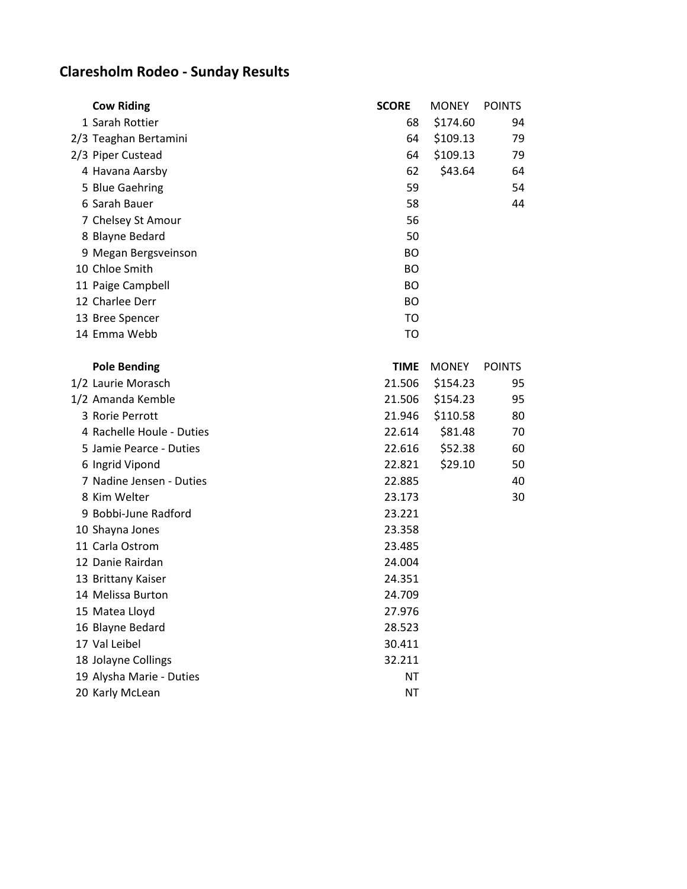## **Claresholm Rodeo - Sunday Results**

| <b>Cow Riding</b>         | <b>SCORE</b> | <b>MONEY</b> | <b>POINTS</b> |
|---------------------------|--------------|--------------|---------------|
| 1 Sarah Rottier           | 68           | \$174.60     | 94            |
| 2/3 Teaghan Bertamini     | 64           | \$109.13     | 79            |
| 2/3 Piper Custead         | 64           | \$109.13     | 79            |
| 4 Havana Aarsby           | 62           | \$43.64      | 64            |
| 5 Blue Gaehring           | 59           |              | 54            |
| 6 Sarah Bauer             | 58           |              | 44            |
| 7 Chelsey St Amour        | 56           |              |               |
| 8 Blayne Bedard           | 50           |              |               |
| 9 Megan Bergsveinson      | ВO           |              |               |
| 10 Chloe Smith            | BO           |              |               |
| 11 Paige Campbell         | <b>BO</b>    |              |               |
| 12 Charlee Derr           | <b>BO</b>    |              |               |
| 13 Bree Spencer           | TO           |              |               |
| 14 Emma Webb              | TO           |              |               |
|                           |              |              |               |
| <b>Pole Bending</b>       | <b>TIME</b>  | <b>MONEY</b> | <b>POINTS</b> |
| 1/2 Laurie Morasch        | 21.506       | \$154.23     | 95            |
| 1/2 Amanda Kemble         | 21.506       | \$154.23     | 95            |
| 3 Rorie Perrott           | 21.946       | \$110.58     | 80            |
| 4 Rachelle Houle - Duties | 22.614       | \$81.48      | 70            |
| 5 Jamie Pearce - Duties   | 22.616       | \$52.38      | 60            |
| 6 Ingrid Vipond           | 22.821       | \$29.10      | 50            |
| 7 Nadine Jensen - Duties  | 22.885       |              | 40            |
| 8 Kim Welter              | 23.173       |              | 30            |
| 9 Bobbi-June Radford      | 23.221       |              |               |
| 10 Shayna Jones           | 23.358       |              |               |
| 11 Carla Ostrom           | 23.485       |              |               |
| 12 Danie Rairdan          | 24.004       |              |               |
| 13 Brittany Kaiser        | 24.351       |              |               |
| 14 Melissa Burton         | 24.709       |              |               |
| 15 Matea Lloyd            | 27.976       |              |               |
| 16 Blayne Bedard          | 28.523       |              |               |
| 17 Val Leibel             | 30.411       |              |               |
| 18 Jolayne Collings       | 32.211       |              |               |
| 19 Alysha Marie - Duties  | <b>NT</b>    |              |               |
| 20 Karly McLean           | <b>NT</b>    |              |               |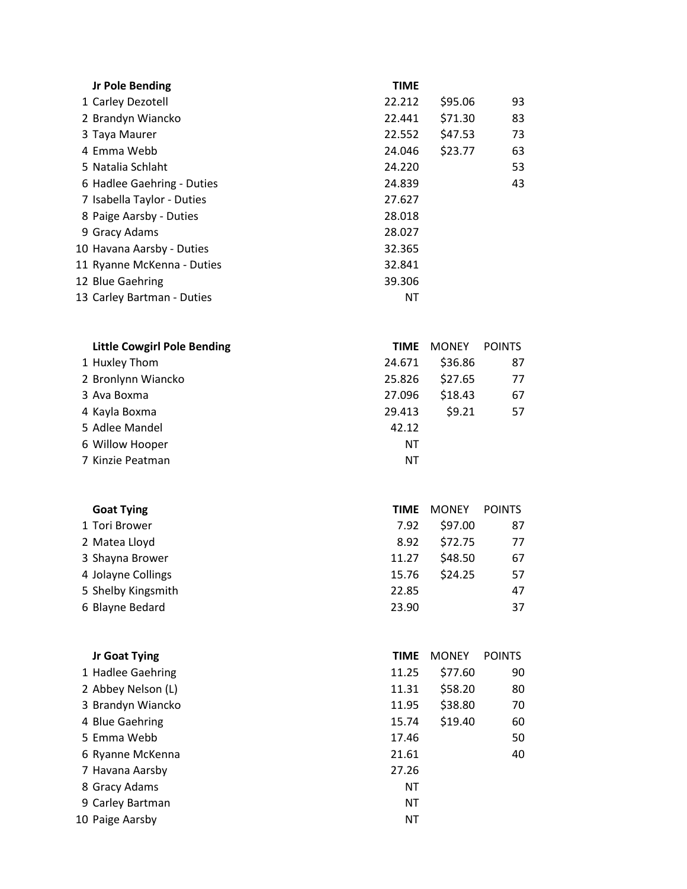| <b>Jr Pole Bending</b>     | <b>TIME</b> |         |    |
|----------------------------|-------------|---------|----|
| 1 Carley Dezotell          | 22.212      | \$95.06 | 93 |
| 2 Brandyn Wiancko          | 22.441      | \$71.30 | 83 |
| 3 Taya Maurer              | 22.552      | \$47.53 | 73 |
| 4 Emma Webb                | 24.046      | \$23.77 | 63 |
| 5 Natalia Schlaht          | 24.220      |         | 53 |
| 6 Hadlee Gaehring - Duties | 24.839      |         | 43 |
| 7 Isabella Taylor - Duties | 27.627      |         |    |
| 8 Paige Aarsby - Duties    | 28.018      |         |    |
| 9 Gracy Adams              | 28.027      |         |    |
| 10 Havana Aarsby - Duties  | 32.365      |         |    |
| 11 Ryanne McKenna - Duties | 32.841      |         |    |
| 12 Blue Gaehring           | 39.306      |         |    |
| 13 Carley Bartman - Duties | <b>NT</b>   |         |    |
|                            |             |         |    |

| <b>Little Cowgirl Pole Bending</b> | TIME   | <b>MONEY</b> | <b>POINTS</b> |
|------------------------------------|--------|--------------|---------------|
| 1 Huxley Thom                      | 24.671 | \$36.86      | 87            |
| 2 Bronlynn Wiancko                 | 25.826 | \$27.65      | 77            |
| 3 Ava Boxma                        | 27.096 | \$18.43      | 67            |
| 4 Kayla Boxma                      | 29.413 | \$9.21       | 57            |
| 5 Adlee Mandel                     | 42.12  |              |               |
| 6 Willow Hooper                    | ΝT     |              |               |
| 7 Kinzie Peatman                   | NΤ     |              |               |

| <b>Goat Tying</b>  | <b>TIME</b> | <b>MONEY</b> | <b>POINTS</b> |
|--------------------|-------------|--------------|---------------|
| 1 Tori Brower      | 7.92        | \$97.00      | 87            |
| 2 Matea Lloyd      | 8.92        | \$72.75      | 77            |
| 3 Shayna Brower    | 11.27       | \$48.50      | 67            |
| 4 Jolayne Collings | 15.76       | \$24.25      | 57            |
| 5 Shelby Kingsmith | 22.85       |              | 47            |
| 6 Blayne Bedard    | 23.90       |              | 37            |
|                    |             |              |               |

| Jr Goat Tying      | <b>TIME</b> | <b>MONEY</b> | POINTS |
|--------------------|-------------|--------------|--------|
| 1 Hadlee Gaehring  | 11.25       | \$77.60      | 90     |
| 2 Abbey Nelson (L) | 11.31       | \$58.20      | 80     |
| 3 Brandyn Wiancko  | 11.95       | \$38.80      | 70     |
| 4 Blue Gaehring    | 15.74       | \$19.40      | 60     |
| 5 Emma Webb        | 17.46       |              | 50     |
| 6 Ryanne McKenna   | 21.61       |              | 40     |
| 7 Havana Aarsby    | 27.26       |              |        |
| 8 Gracy Adams      | ΝT          |              |        |
| 9 Carley Bartman   | ΝT          |              |        |
| 10 Paige Aarsby    | ΝT          |              |        |
|                    |             |              |        |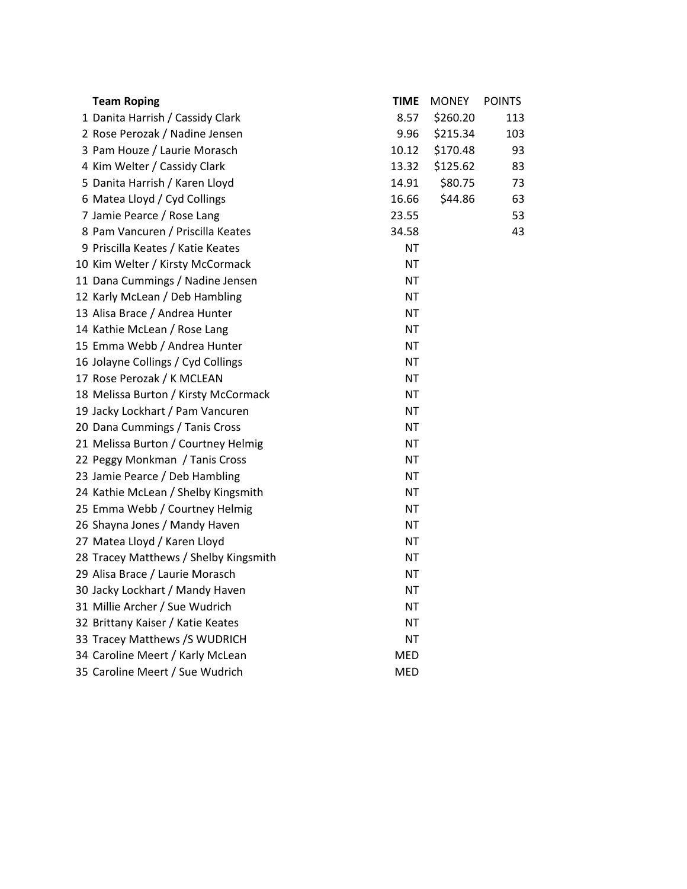| <b>Team Roping</b>                    | <b>TIME</b> | <b>MONEY</b> | <b>POINTS</b> |
|---------------------------------------|-------------|--------------|---------------|
| 1 Danita Harrish / Cassidy Clark      | 8.57        | \$260.20     | 113           |
| 2 Rose Perozak / Nadine Jensen        | 9.96        | \$215.34     | 103           |
| 3 Pam Houze / Laurie Morasch          | 10.12       | \$170.48     | 93            |
| 4 Kim Welter / Cassidy Clark          | 13.32       | \$125.62     | 83            |
| 5 Danita Harrish / Karen Lloyd        | 14.91       | \$80.75      | 73            |
| 6 Matea Lloyd / Cyd Collings          | 16.66       | \$44.86      | 63            |
| 7 Jamie Pearce / Rose Lang            | 23.55       |              | 53            |
| 8 Pam Vancuren / Priscilla Keates     | 34.58       |              | 43            |
| 9 Priscilla Keates / Katie Keates     | NT.         |              |               |
| 10 Kim Welter / Kirsty McCormack      | <b>NT</b>   |              |               |
| 11 Dana Cummings / Nadine Jensen      | <b>NT</b>   |              |               |
| 12 Karly McLean / Deb Hambling        | <b>NT</b>   |              |               |
| 13 Alisa Brace / Andrea Hunter        | <b>NT</b>   |              |               |
| 14 Kathie McLean / Rose Lang          | <b>NT</b>   |              |               |
| 15 Emma Webb / Andrea Hunter          | <b>NT</b>   |              |               |
| 16 Jolayne Collings / Cyd Collings    | <b>NT</b>   |              |               |
| 17 Rose Perozak / K MCLEAN            | <b>NT</b>   |              |               |
| 18 Melissa Burton / Kirsty McCormack  | <b>NT</b>   |              |               |
| 19 Jacky Lockhart / Pam Vancuren      | <b>NT</b>   |              |               |
| 20 Dana Cummings / Tanis Cross        | <b>NT</b>   |              |               |
| 21 Melissa Burton / Courtney Helmig   | <b>NT</b>   |              |               |
| 22 Peggy Monkman / Tanis Cross        | <b>NT</b>   |              |               |
| 23 Jamie Pearce / Deb Hambling        | <b>NT</b>   |              |               |
| 24 Kathie McLean / Shelby Kingsmith   | <b>NT</b>   |              |               |
| 25 Emma Webb / Courtney Helmig        | <b>NT</b>   |              |               |
| 26 Shayna Jones / Mandy Haven         | <b>NT</b>   |              |               |
| 27 Matea Lloyd / Karen Lloyd          | <b>NT</b>   |              |               |
| 28 Tracey Matthews / Shelby Kingsmith | <b>NT</b>   |              |               |
| 29 Alisa Brace / Laurie Morasch       | <b>NT</b>   |              |               |
| 30 Jacky Lockhart / Mandy Haven       | <b>NT</b>   |              |               |
| 31 Millie Archer / Sue Wudrich        | <b>NT</b>   |              |               |
| 32 Brittany Kaiser / Katie Keates     | <b>NT</b>   |              |               |
| 33 Tracey Matthews /S WUDRICH         | <b>NT</b>   |              |               |
| 34 Caroline Meert / Karly McLean      | MED         |              |               |
| 35 Caroline Meert / Sue Wudrich       | <b>MED</b>  |              |               |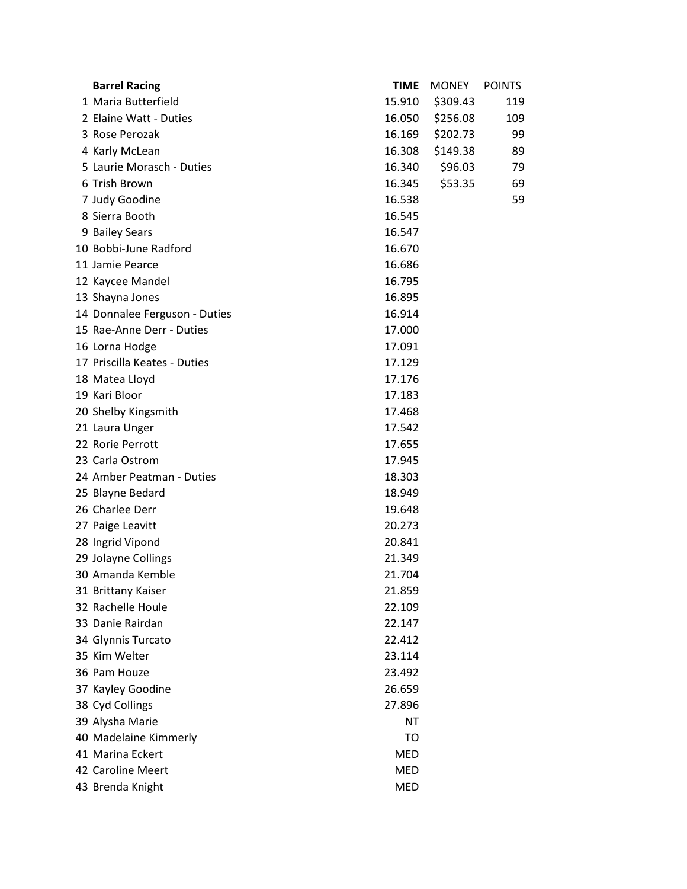| <b>Barrel Racing</b>          | <b>TIME</b> | <b>MONEY</b> | <b>POINTS</b> |
|-------------------------------|-------------|--------------|---------------|
| 1 Maria Butterfield           | 15.910      | \$309.43     | 119           |
| 2 Elaine Watt - Duties        | 16.050      | \$256.08     | 109           |
| 3 Rose Perozak                | 16.169      | \$202.73     | 99            |
| 4 Karly McLean                | 16.308      | \$149.38     | 89            |
| 5 Laurie Morasch - Duties     | 16.340      | \$96.03      | 79            |
| 6 Trish Brown                 | 16.345      | \$53.35      | 69            |
| 7 Judy Goodine                | 16.538      |              | 59            |
| 8 Sierra Booth                | 16.545      |              |               |
| 9 Bailey Sears                | 16.547      |              |               |
| 10 Bobbi-June Radford         | 16.670      |              |               |
| 11 Jamie Pearce               | 16.686      |              |               |
| 12 Kaycee Mandel              | 16.795      |              |               |
| 13 Shayna Jones               | 16.895      |              |               |
| 14 Donnalee Ferguson - Duties | 16.914      |              |               |
| 15 Rae-Anne Derr - Duties     | 17.000      |              |               |
| 16 Lorna Hodge                | 17.091      |              |               |
| 17 Priscilla Keates - Duties  | 17.129      |              |               |
| 18 Matea Lloyd                | 17.176      |              |               |
| 19 Kari Bloor                 | 17.183      |              |               |
| 20 Shelby Kingsmith           | 17.468      |              |               |
| 21 Laura Unger                | 17.542      |              |               |
| 22 Rorie Perrott              | 17.655      |              |               |
| 23 Carla Ostrom               | 17.945      |              |               |
| 24 Amber Peatman - Duties     | 18.303      |              |               |
| 25 Blayne Bedard              | 18.949      |              |               |
| 26 Charlee Derr               | 19.648      |              |               |
| 27 Paige Leavitt              | 20.273      |              |               |
| 28 Ingrid Vipond              | 20.841      |              |               |
| 29 Jolayne Collings           | 21.349      |              |               |
| 30 Amanda Kemble              | 21.704      |              |               |
| 31 Brittany Kaiser            | 21.859      |              |               |
| 32 Rachelle Houle             | 22.109      |              |               |
| 33 Danie Rairdan              | 22.147      |              |               |
| 34 Glynnis Turcato            | 22.412      |              |               |
| 35 Kim Welter                 | 23.114      |              |               |
| 36 Pam Houze                  | 23.492      |              |               |
| 37 Kayley Goodine             | 26.659      |              |               |
| 38 Cyd Collings               | 27.896      |              |               |
| 39 Alysha Marie               | <b>NT</b>   |              |               |
| 40 Madelaine Kimmerly         | TO          |              |               |
| 41 Marina Eckert              | MED         |              |               |
| 42 Caroline Meert             | <b>MED</b>  |              |               |
| 43 Brenda Knight              | <b>MED</b>  |              |               |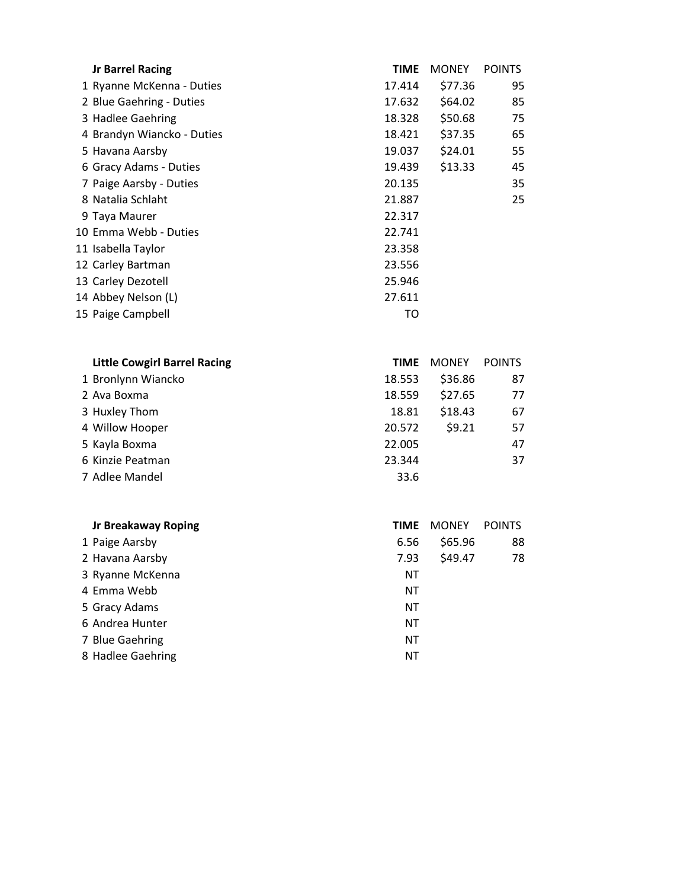| <b>Jr Barrel Racing</b>    | <b>TIME</b> | <b>MONEY</b> | <b>POINTS</b> |
|----------------------------|-------------|--------------|---------------|
| 1 Ryanne McKenna - Duties  | 17.414      | \$77.36      | 95            |
| 2 Blue Gaehring - Duties   | 17.632      | \$64.02      | 85            |
| 3 Hadlee Gaehring          | 18.328      | \$50.68      | 75            |
| 4 Brandyn Wiancko - Duties | 18.421      | \$37.35      | 65            |
| 5 Havana Aarsby            | 19.037      | \$24.01      | 55            |
| 6 Gracy Adams - Duties     | 19.439      | \$13.33      | 45            |
| 7 Paige Aarsby - Duties    | 20.135      |              | 35            |
| 8 Natalia Schlaht          | 21.887      |              | 25            |
| 9 Taya Maurer              | 22.317      |              |               |
| 10 Emma Webb - Duties      | 22.741      |              |               |
| 11 Isabella Taylor         | 23.358      |              |               |
| 12 Carley Bartman          | 23.556      |              |               |
| 13 Carley Dezotell         | 25.946      |              |               |
| 14 Abbey Nelson (L)        | 27.611      |              |               |
| 15 Paige Campbell          | то          |              |               |

| <b>Little Cowgirl Barrel Racing</b> | <b>TIME</b> | <b>MONEY</b> | <b>POINTS</b> |
|-------------------------------------|-------------|--------------|---------------|
| 1 Bronlynn Wiancko                  | 18.553      | \$36.86      | 87            |
| 2 Ava Boxma                         | 18.559      | \$27.65      | 77            |
| 3 Huxley Thom                       | 18.81       | \$18.43      | 67            |
| 4 Willow Hooper                     | 20.572      | \$9.21       | 57            |
| 5 Kayla Boxma                       | 22.005      |              | 47            |
| 6 Kinzie Peatman                    | 23.344      |              | 37            |
| 7 Adlee Mandel                      | 33.6        |              |               |

| <b>Jr Breakaway Roping</b> | TIME | <b>MONEY</b> | <b>POINTS</b> |
|----------------------------|------|--------------|---------------|
| 1 Paige Aarsby             | 6.56 | \$65.96      | 88            |
| 2 Havana Aarsby            | 7.93 | \$49.47      | 78            |
| 3 Ryanne McKenna           | ΝT   |              |               |
| 4 Emma Webb                | NT   |              |               |
| 5 Gracy Adams              | NT   |              |               |
| 6 Andrea Hunter            | ΝT   |              |               |
| 7 Blue Gaehring            | NT   |              |               |
| 8 Hadlee Gaehring          | ΝT   |              |               |